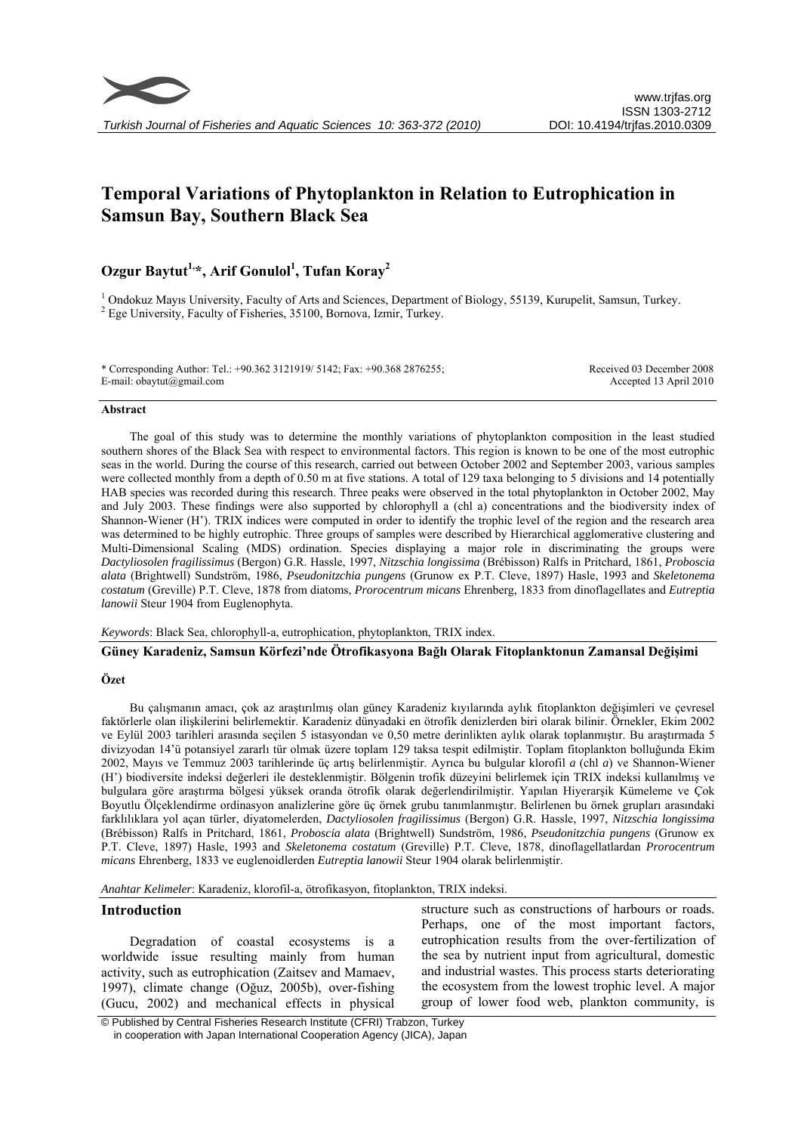

# **Temporal Variations of Phytoplankton in Relation to Eutrophication in Samsun Bay, Southern Black Sea**

# **Ozgur Baytut1,\*, Arif Gonulol1 , Tufan Koray<sup>2</sup>**

<sup>1</sup> Ondokuz Mayıs University, Faculty of Arts and Sciences, Department of Biology, 55139, Kurupelit, Samsun, Turkey.  $2$  Ege University, Faculty of Fisheries, 35100, Bornova, Izmir, Turkey.

\* Corresponding Author: Tel.: +90.362 3121919/ 5142; Fax: +90.368 2876255; E-mail: obaytut@gmail.com Received 03 December 2008 Accepted 13 April 2010

#### **Abstract**

The goal of this study was to determine the monthly variations of phytoplankton composition in the least studied southern shores of the Black Sea with respect to environmental factors. This region is known to be one of the most eutrophic seas in the world. During the course of this research, carried out between October 2002 and September 2003, various samples were collected monthly from a depth of 0.50 m at five stations. A total of 129 taxa belonging to 5 divisions and 14 potentially HAB species was recorded during this research. Three peaks were observed in the total phytoplankton in October 2002, May and July 2003. These findings were also supported by chlorophyll a (chl a) concentrations and the biodiversity index of Shannon-Wiener (H'). TRIX indices were computed in order to identify the trophic level of the region and the research area was determined to be highly eutrophic. Three groups of samples were described by Hierarchical agglomerative clustering and Multi-Dimensional Scaling (MDS) ordination. Species displaying a major role in discriminating the groups were *Dactyliosolen fragilissimus* (Bergon) G.R. Hassle, 1997, *Nitzschia longissima* (Brébisson) Ralfs in Pritchard, 1861, *Proboscia alata* (Brightwell) Sundström, 1986, *Pseudonitzchia pungens* (Grunow ex P.T. Cleve, 1897) Hasle, 1993 and *Skeletonema costatum* (Greville) P.T. Cleve, 1878 from diatoms, *Prorocentrum micans* Ehrenberg, 1833 from dinoflagellates and *Eutreptia lanowii* Steur 1904 from Euglenophyta.

*Keywords*: Black Sea, chlorophyll-a, eutrophication, phytoplankton, TRIX index.

**Güney Karadeniz, Samsun Körfezi'nde Ötrofikasyona Bağlı Olarak Fitoplanktonun Zamansal Değişimi** 

#### **Özet**

Bu çalışmanın amacı, çok az araştırılmış olan güney Karadeniz kıyılarında aylık fitoplankton değişimleri ve çevresel faktörlerle olan ilişkilerini belirlemektir. Karadeniz dünyadaki en ötrofik denizlerden biri olarak bilinir. Örnekler, Ekim 2002 ve Eylül 2003 tarihleri arasında seçilen 5 istasyondan ve 0,50 metre derinlikten aylık olarak toplanmıştır. Bu araştırmada 5 divizyodan 14'ü potansiyel zararlı tür olmak üzere toplam 129 taksa tespit edilmiştir. Toplam fitoplankton bolluğunda Ekim 2002, Mayıs ve Temmuz 2003 tarihlerinde üç artış belirlenmiştir. Ayrıca bu bulgular klorofil *a* (chl *a*) ve Shannon-Wiener (H') biodiversite indeksi değerleri ile desteklenmiştir. Bölgenin trofik düzeyini belirlemek için TRIX indeksi kullanılmış ve bulgulara göre araştırma bölgesi yüksek oranda ötrofik olarak değerlendirilmiştir. Yapılan Hiyerarşik Kümeleme ve Çok Boyutlu Ölçeklendirme ordinasyon analizlerine göre üç örnek grubu tanımlanmıştır. Belirlenen bu örnek grupları arasındaki farklılıklara yol açan türler, diyatomelerden, *Dactyliosolen fragilissimus* (Bergon) G.R. Hassle, 1997, *Nitzschia longissima* (Brébisson) Ralfs in Pritchard, 1861, *Proboscia alata* (Brightwell) Sundström, 1986, *Pseudonitzchia pungens* (Grunow ex P.T. Cleve, 1897) Hasle, 1993 and *Skeletonema costatum* (Greville) P.T. Cleve, 1878, dinoflagellatlardan *Prorocentrum micans* Ehrenberg, 1833 ve euglenoidlerden *Eutreptia lanowii* Steur 1904 olarak belirlenmiştir.

*Anahtar Kelimeler*: Karadeniz, klorofil-a, ötrofikasyon, fitoplankton, TRIX indeksi.

#### **Introduction**

Degradation of coastal ecosystems is a worldwide issue resulting mainly from human activity, such as eutrophication (Zaitsev and Mamaev, 1997), climate change (Oğuz, 2005b), over-fishing (Gucu, 2002) and mechanical effects in physical

structure such as constructions of harbours or roads. Perhaps, one of the most important factors, eutrophication results from the over-fertilization of the sea by nutrient input from agricultural, domestic and industrial wastes. This process starts deteriorating the ecosystem from the lowest trophic level. A major group of lower food web, plankton community, is

 © Published by Central Fisheries Research Institute (CFRI) Trabzon, Turkey in cooperation with Japan International Cooperation Agency (JICA), Japan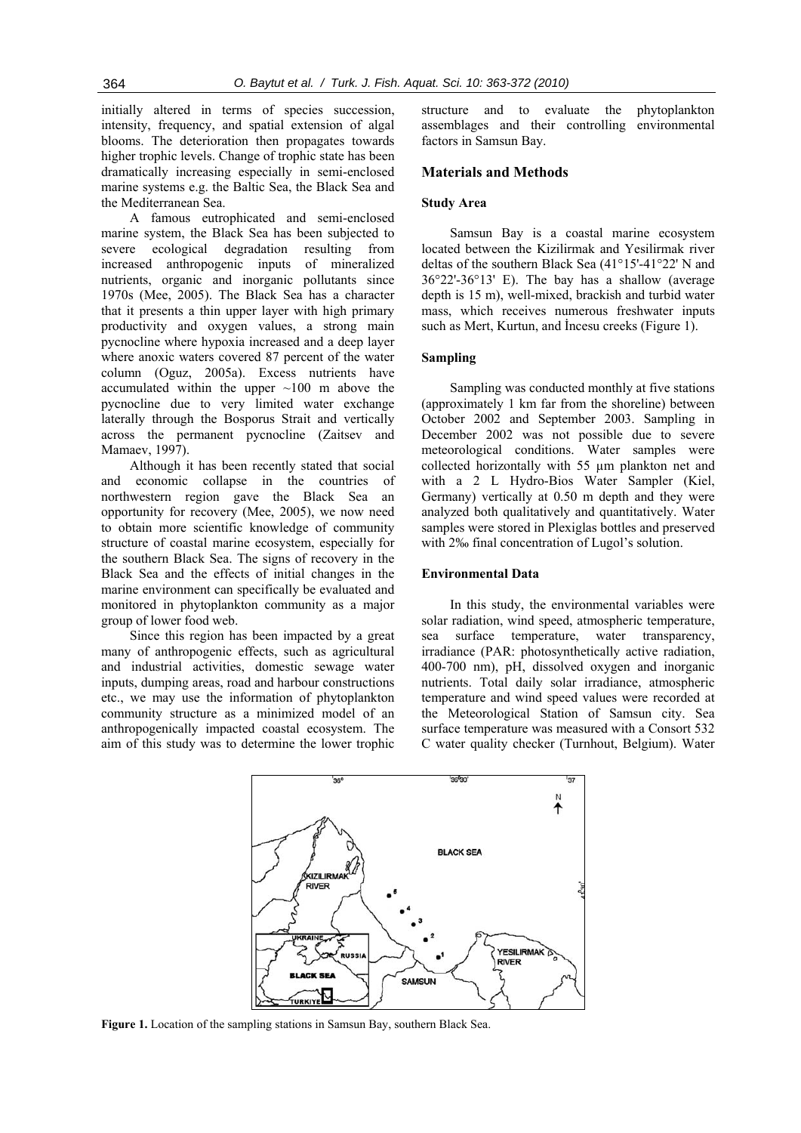initially altered in terms of species succession, intensity, frequency, and spatial extension of algal blooms. The deterioration then propagates towards higher trophic levels. Change of trophic state has been dramatically increasing especially in semi-enclosed marine systems e.g. the Baltic Sea, the Black Sea and the Mediterranean Sea.

A famous eutrophicated and semi-enclosed marine system, the Black Sea has been subjected to severe ecological degradation resulting from increased anthropogenic inputs of mineralized nutrients, organic and inorganic pollutants since 1970s (Mee, 2005). The Black Sea has a character that it presents a thin upper layer with high primary productivity and oxygen values, a strong main pycnocline where hypoxia increased and a deep layer where anoxic waters covered 87 percent of the water column (Oguz, 2005a). Excess nutrients have accumulated within the upper  $\sim 100$  m above the pycnocline due to very limited water exchange laterally through the Bosporus Strait and vertically across the permanent pycnocline (Zaitsev and Mamaev, 1997).

Although it has been recently stated that social and economic collapse in the countries of northwestern region gave the Black Sea an opportunity for recovery (Mee, 2005), we now need to obtain more scientific knowledge of community structure of coastal marine ecosystem, especially for the southern Black Sea. The signs of recovery in the Black Sea and the effects of initial changes in the marine environment can specifically be evaluated and monitored in phytoplankton community as a major group of lower food web.

Since this region has been impacted by a great many of anthropogenic effects, such as agricultural and industrial activities, domestic sewage water inputs, dumping areas, road and harbour constructions etc., we may use the information of phytoplankton community structure as a minimized model of an anthropogenically impacted coastal ecosystem. The aim of this study was to determine the lower trophic structure and to evaluate the phytoplankton assemblages and their controlling environmental factors in Samsun Bay.

#### **Materials and Methods**

#### **Study Area**

Samsun Bay is a coastal marine ecosystem located between the Kizilirmak and Yesilirmak river deltas of the southern Black Sea (41°15'-41°22' N and 36°22'-36°13' E). The bay has a shallow (average depth is 15 m), well-mixed, brackish and turbid water mass, which receives numerous freshwater inputs such as Mert, Kurtun, and İncesu creeks (Figure 1).

#### **Sampling**

Sampling was conducted monthly at five stations (approximately 1 km far from the shoreline) between October 2002 and September 2003. Sampling in December 2002 was not possible due to severe meteorological conditions. Water samples were collected horizontally with 55 µm plankton net and with a 2 L Hydro-Bios Water Sampler (Kiel, Germany) vertically at 0.50 m depth and they were analyzed both qualitatively and quantitatively. Water samples were stored in Plexiglas bottles and preserved with 2<sup>‰</sup> final concentration of Lugol's solution.

#### **Environmental Data**

In this study, the environmental variables were solar radiation, wind speed, atmospheric temperature, sea surface temperature, water transparency, irradiance (PAR: photosynthetically active radiation, 400-700 nm), pH, dissolved oxygen and inorganic nutrients. Total daily solar irradiance, atmospheric temperature and wind speed values were recorded at the Meteorological Station of Samsun city. Sea surface temperature was measured with a Consort 532 C water quality checker (Turnhout, Belgium). Water



**Figure 1.** Location of the sampling stations in Samsun Bay, southern Black Sea.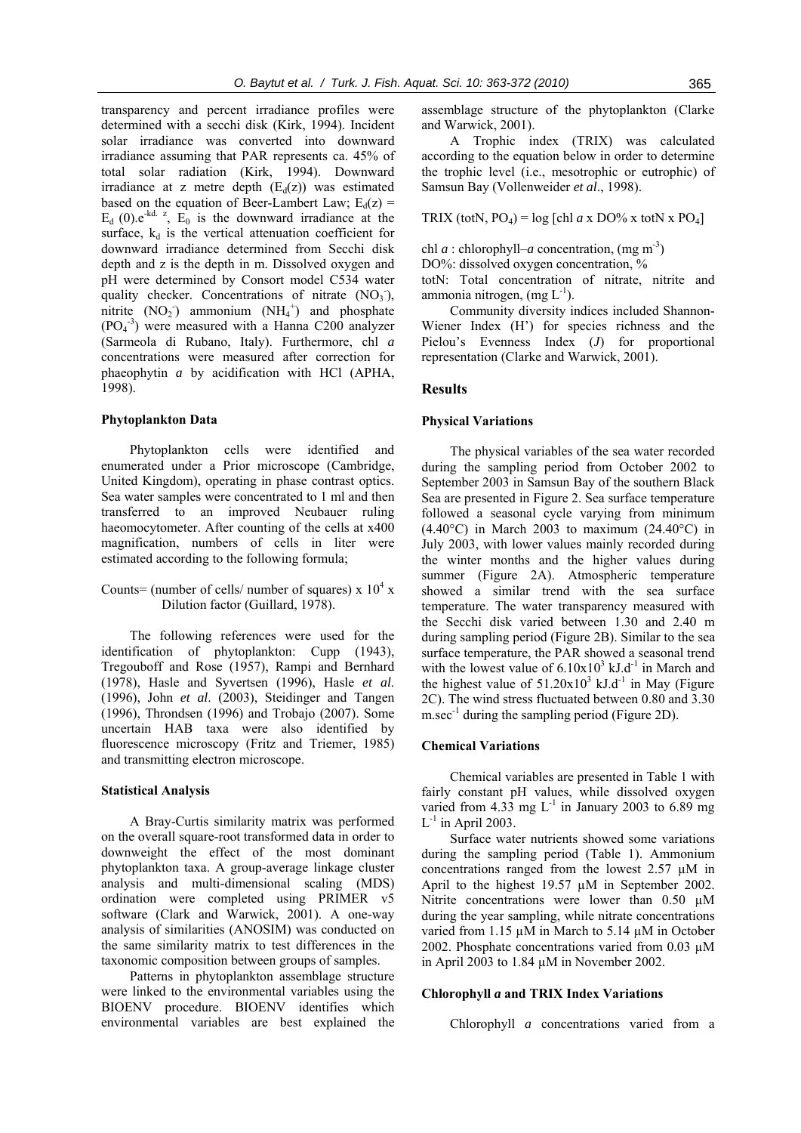transparency and percent irradiance profiles were determined with a secchi disk (Kirk, 1994). Incident solar irradiance was converted into downward irradiance assuming that PAR represents ca. 45% of total solar radiation (Kirk, 1994). Downward irradiance at z metre depth  $(E_d(z))$  was estimated based on the equation of Beer-Lambert Law;  $E_d(z)$  =  $E_d$  (0).e<sup>-kd. z</sup>,  $E_0$  is the downward irradiance at the surface,  $k_d$  is the vertical attenuation coefficient for downward irradiance determined from Secchi disk depth and z is the depth in m. Dissolved oxygen and pH were determined by Consort model C534 water quality checker. Concentrations of nitrate  $(NO<sub>3</sub>),$ nitrite  $(NO<sub>2</sub>)$  ammonium  $(NH<sub>4</sub><sup>+</sup>)$  and phosphate  $(PO<sub>4</sub><sup>-3</sup>)$  were measured with a Hanna C200 analyzer (Sarmeola di Rubano, Italy). Furthermore, chl *a* concentrations were measured after correction for phaeophytin *a* by acidification with HCl (APHA, 1998).

### **Phytoplankton Data**

Phytoplankton cells were identified and enumerated under a Prior microscope (Cambridge, United Kingdom), operating in phase contrast optics. Sea water samples were concentrated to 1 ml and then transferred to an improved Neubauer ruling haeomocytometer. After counting of the cells at x400 magnification, numbers of cells in liter were estimated according to the following formula;

# Counts= (number of cells/ number of squares)  $x 10<sup>4</sup> x$ Dilution factor (Guillard, 1978).

The following references were used for the identification of phytoplankton: Cupp (1943), Tregouboff and Rose (1957), Rampi and Bernhard (1978), Hasle and Syvertsen (1996), Hasle *et al*. (1996), John *et al*. (2003), Steidinger and Tangen (1996), Throndsen (1996) and Trobajo (2007). Some uncertain HAB taxa were also identified by fluorescence microscopy (Fritz and Triemer, 1985) and transmitting electron microscope.

#### **Statistical Analysis**

A Bray-Curtis similarity matrix was performed on the overall square-root transformed data in order to downweight the effect of the most dominant phytoplankton taxa. A group-average linkage cluster analysis and multi-dimensional scaling (MDS) ordination were completed using PRIMER v5 software (Clark and Warwick, 2001). A one-way analysis of similarities (ANOSIM) was conducted on the same similarity matrix to test differences in the taxonomic composition between groups of samples.

Patterns in phytoplankton assemblage structure were linked to the environmental variables using the BIOENV procedure. BIOENV identifies which environmental variables are best explained the assemblage structure of the phytoplankton (Clarke and Warwick, 2001).

A Trophic index (TRIX) was calculated according to the equation below in order to determine the trophic level (i.e., mesotrophic or eutrophic) of Samsun Bay (Vollenweider *et al*., 1998).

TRIX (totN,  $PQ_4$ ) = log [chl *a* x DO% x totN x  $PQ_4$ ]

chl *a* : chlorophyll–*a* concentration, (mg m<sup>-3</sup>)

DO%: dissolved oxygen concentration, %

totN: Total concentration of nitrate, nitrite and ammonia nitrogen,  $(mg L^{-1})$ .

Community diversity indices included Shannon-Wiener Index (H') for species richness and the Pielou's Evenness Index (*J*) for proportional representation (Clarke and Warwick, 2001).

#### **Results**

#### **Physical Variations**

The physical variables of the sea water recorded during the sampling period from October 2002 to September 2003 in Samsun Bay of the southern Black Sea are presented in Figure 2. Sea surface temperature followed a seasonal cycle varying from minimum  $(4.40^{\circ}$ C) in March 2003 to maximum  $(24.40^{\circ}$ C) in July 2003, with lower values mainly recorded during the winter months and the higher values during summer (Figure 2A). Atmospheric temperature showed a similar trend with the sea surface temperature. The water transparency measured with the Secchi disk varied between 1.30 and 2.40 m during sampling period (Figure 2B). Similar to the sea surface temperature, the PAR showed a seasonal trend with the lowest value of  $6.10x10^3$  kJ.d<sup>-1</sup> in March and the highest value of  $51.20 \times 10^3$  kJ.d<sup>-1</sup> in May (Figure 2C). The wind stress fluctuated between 0.80 and 3.30  $m/sec^{-1}$  during the sampling period (Figure 2D).

#### **Chemical Variations**

Chemical variables are presented in Table 1 with fairly constant pH values, while dissolved oxygen varied from 4.33 mg  $L^{-1}$  in January 2003 to 6.89 mg  $L^{-1}$  in April 2003.

Surface water nutrients showed some variations during the sampling period (Table 1). Ammonium concentrations ranged from the lowest 2.57 µM in April to the highest 19.57  $\mu$ M in September 2002. Nitrite concentrations were lower than 0.50  $\mu$ M during the year sampling, while nitrate concentrations varied from 1.15 µM in March to 5.14 µM in October 2002. Phosphate concentrations varied from  $0.03 \mu M$ in April 2003 to 1.84 µM in November 2002.

# **Chlorophyll** *a* **and TRIX Index Variations**

Chlorophyll *a* concentrations varied from a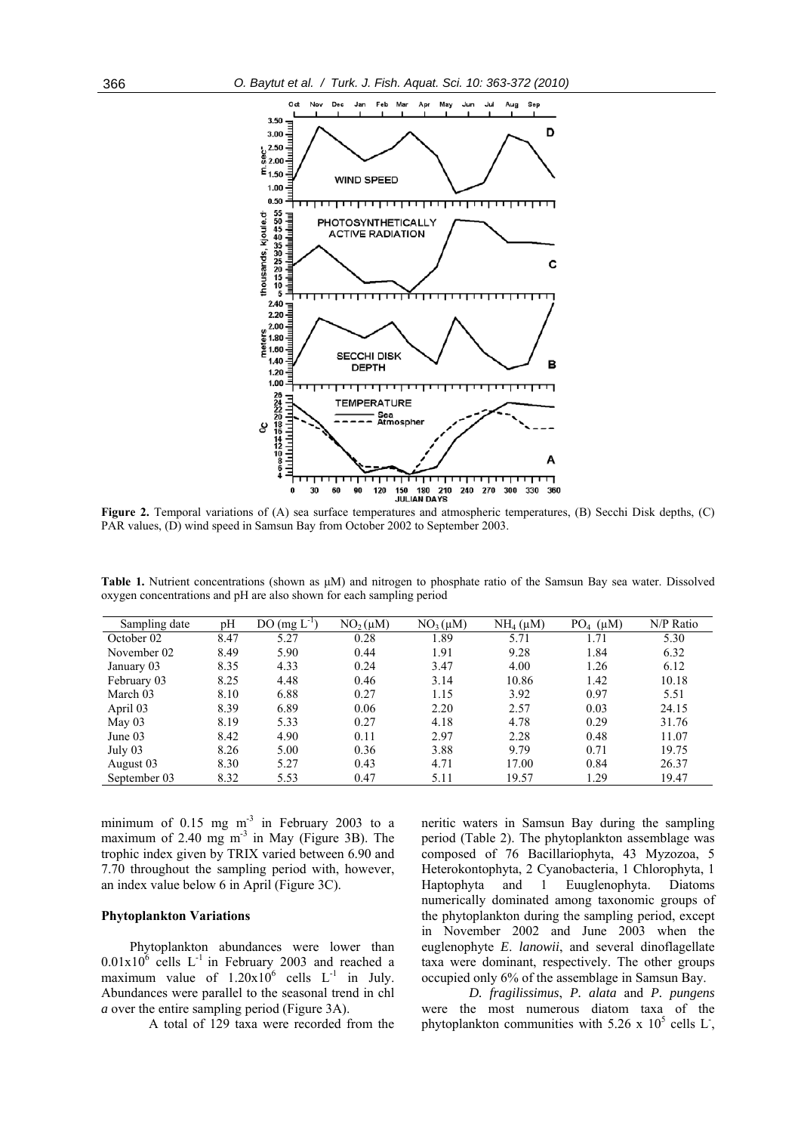

**Figure 2.** Temporal variations of (A) sea surface temperatures and atmospheric temperatures, (B) Secchi Disk depths, (C) PAR values, (D) wind speed in Samsun Bay from October 2002 to September 2003.

**Table 1.** Nutrient concentrations (shown as μM) and nitrogen to phosphate ratio of the Samsun Bay sea water. Dissolved oxygen concentrations and pH are also shown for each sampling period

| Sampling date | pH   | $DO(mg L^{-1})$ | $NO2(\mu M)$ | $NO3(\mu M)$ | $NH4$ ( $\mu$ M) | $PO_4$ ( $\mu$ M) | N/P Ratio |
|---------------|------|-----------------|--------------|--------------|------------------|-------------------|-----------|
| October 02    | 8.47 | 5.27            | 0.28         | 1.89         | 5.71             | 1.71              | 5.30      |
| November 02   | 8.49 | 5.90            | 0.44         | 1.91         | 9.28             | 1.84              | 6.32      |
| January 03    | 8.35 | 4.33            | 0.24         | 3.47         | 4.00             | 1.26              | 6.12      |
| February 03   | 8.25 | 4.48            | 0.46         | 3.14         | 10.86            | 1.42              | 10.18     |
| March 03      | 8.10 | 6.88            | 0.27         | 1.15         | 3.92             | 0.97              | 5.51      |
| April 03      | 8.39 | 6.89            | 0.06         | 2.20         | 2.57             | 0.03              | 24.15     |
| May $03$      | 8.19 | 5.33            | 0.27         | 4.18         | 4.78             | 0.29              | 31.76     |
| June 03       | 8.42 | 4.90            | 0.11         | 2.97         | 2.28             | 0.48              | 11.07     |
| July 03       | 8.26 | 5.00            | 0.36         | 3.88         | 9.79             | 0.71              | 19.75     |
| August 03     | 8.30 | 5.27            | 0.43         | 4.71         | 17.00            | 0.84              | 26.37     |
| September 03  | 8.32 | 5.53            | 0.47         | 5.11         | 19.57            | 1.29              | 19.47     |

minimum of  $0.15$  mg m<sup>-3</sup> in February 2003 to a maximum of 2.40 mg  $m<sup>3</sup>$  in May (Figure 3B). The trophic index given by TRIX varied between 6.90 and 7.70 throughout the sampling period with, however, an index value below 6 in April (Figure 3C).

#### **Phytoplankton Variations**

Phytoplankton abundances were lower than  $0.01 \times 10^6$  cells L<sup>-1</sup> in February 2003 and reached a maximum value of  $1.20 \times 10^6$  cells L<sup>-1</sup> in July. Abundances were parallel to the seasonal trend in chl *a* over the entire sampling period (Figure 3A).

A total of 129 taxa were recorded from the

neritic waters in Samsun Bay during the sampling period (Table 2). The phytoplankton assemblage was composed of 76 Bacillariophyta, 43 Myzozoa, 5 Heterokontophyta, 2 Cyanobacteria, 1 Chlorophyta, 1 Haptophyta and 1 Euuglenophyta. Diatoms numerically dominated among taxonomic groups of the phytoplankton during the sampling period, except in November 2002 and June 2003 when the euglenophyte *E*. *lanowii*, and several dinoflagellate taxa were dominant, respectively. The other groups occupied only 6% of the assemblage in Samsun Bay.

*D. fragilissimus*, *P. alata* and *P. pungens* were the most numerous diatom taxa of the phytoplankton communities with 5.26 x  $10^5$  cells L<sup>-</sup>,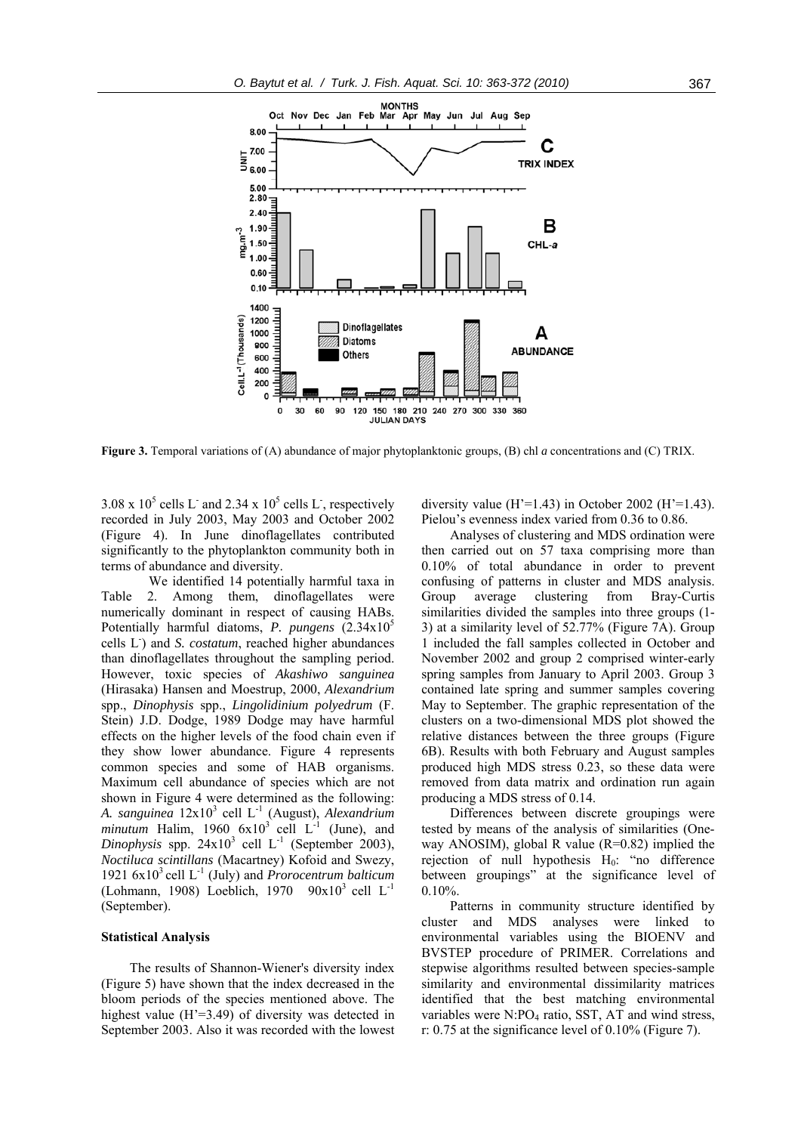

**Figure 3.** Temporal variations of (A) abundance of major phytoplanktonic groups, (B) chl *a* concentrations and (C) TRIX.

3.08 x  $10^5$  cells L<sup>-</sup> and 2.34 x  $10^5$  cells L<sup>-</sup>, respectively recorded in July 2003, May 2003 and October 2002 (Figure 4). In June dinoflagellates contributed significantly to the phytoplankton community both in terms of abundance and diversity.

We identified 14 potentially harmful taxa in Table 2. Among them, dinoflagellates were numerically dominant in respect of causing HABs. Potentially harmful diatoms, *P. pungens* (2.34x10<sup>5</sup>) cells L<sup>-</sup>) and *S. costatum*, reached higher abundances than dinoflagellates throughout the sampling period. However, toxic species of *Akashiwo sanguinea* (Hirasaka) Hansen and Moestrup, 2000, *Alexandrium* spp., *Dinophysis* spp., *Lingolidinium polyedrum* (F. Stein) J.D. Dodge, 1989 Dodge may have harmful effects on the higher levels of the food chain even if they show lower abundance. Figure 4 represents common species and some of HAB organisms. Maximum cell abundance of species which are not shown in Figure 4 were determined as the following: *A. sanguinea* 12x10<sup>3</sup> cell L-1 (August), *Alexandrium minutum* Halim, 1960  $6x10^3$  cell  $L^{-1}$  (June), and *Dinophysis* spp.  $24x10^3$  cell  $L^{-1}$  (September 2003), *Noctiluca scintillans* (Macartney) Kofoid and Swezy, 1921 6x103 cell L-1 (July) and *Prorocentrum balticum* (Lohmann, 1908) Loeblich, 1970  $90x10^3$  cell L<sup>-1</sup> (September).

#### **Statistical Analysis**

The results of Shannon-Wiener's diversity index (Figure 5) have shown that the index decreased in the bloom periods of the species mentioned above. The highest value  $(H'=3.49)$  of diversity was detected in September 2003. Also it was recorded with the lowest

diversity value (H'=1.43) in October 2002 (H'=1.43). Pielou's evenness index varied from 0.36 to 0.86.

Analyses of clustering and MDS ordination were then carried out on 57 taxa comprising more than 0.10% of total abundance in order to prevent confusing of patterns in cluster and MDS analysis. Group average clustering from Bray-Curtis similarities divided the samples into three groups (1- 3) at a similarity level of 52.77% (Figure 7A). Group 1 included the fall samples collected in October and November 2002 and group 2 comprised winter-early spring samples from January to April 2003. Group 3 contained late spring and summer samples covering May to September. The graphic representation of the clusters on a two-dimensional MDS plot showed the relative distances between the three groups (Figure 6B). Results with both February and August samples produced high MDS stress 0.23, so these data were removed from data matrix and ordination run again producing a MDS stress of 0.14.

Differences between discrete groupings were tested by means of the analysis of similarities (Oneway ANOSIM), global R value (R=0.82) implied the rejection of null hypothesis  $H_0$ : "no difference between groupings" at the significance level of 0.10%.

Patterns in community structure identified by cluster and MDS analyses were linked to environmental variables using the BIOENV and BVSTEP procedure of PRIMER. Correlations and stepwise algorithms resulted between species-sample similarity and environmental dissimilarity matrices identified that the best matching environmental variables were  $N:PO<sub>4</sub>$  ratio, SST, AT and wind stress, r: 0.75 at the significance level of 0.10% (Figure 7).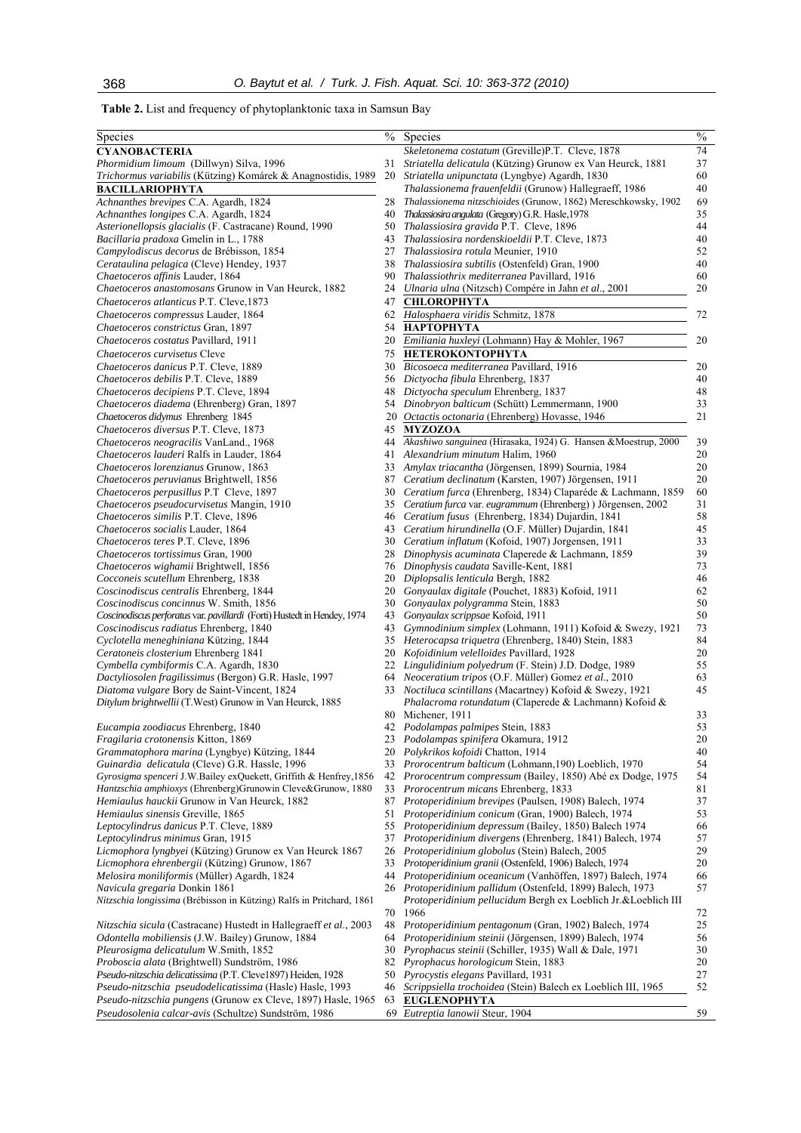**Table 2.** List and frequency of phytoplanktonic taxa in Samsun Bay

| Species                                                                  | $\frac{0}{0}$ | Species                                                                  | $\frac{0}{6}$ |
|--------------------------------------------------------------------------|---------------|--------------------------------------------------------------------------|---------------|
| <b>CYANOBACTERIA</b>                                                     |               | Skeletonema costatum (Greville)P.T. Cleve, 1878                          | 74            |
| Phormidium limoum (Dillwyn) Silva, 1996                                  | 31            | Striatella delicatula (Kützing) Grunow ex Van Heurck, 1881               | 37            |
| Trichormus variabilis (Kützing) Komárek & Anagnostidis, 1989             | 20            | Striatella unipunctata (Lyngbye) Agardh, 1830                            | 60            |
| <b>BACILLARIOPHYTA</b>                                                   |               | Thalassionema frauenfeldii (Grunow) Hallegraeff, 1986                    | 40            |
| Achnanthes brevipes C.A. Agardh, 1824                                    | 28            | Thalassionema nitzschioides (Grunow, 1862) Mereschkowsky, 1902           | 69            |
| Achnanthes longipes C.A. Agardh, 1824                                    | 40            | Thalassiosira angulata (Gregory) G.R. Hasle, 1978                        | 35            |
| Asterionellopsis glacialis (F. Castracane) Round, 1990                   | 50            | <i>Thalassiosira gravida P.T. Cleve, 1896</i>                            | 44            |
| Bacillaria pradoxa Gmelin in L., 1788                                    | 43            | Thalassiosira nordenskioeldii P.T. Cleve, 1873                           | 40            |
| <i>Campylodiscus decorus</i> de Brébisson, 1854                          | 27            | <i>Thalassiosira rotula</i> Meunier, 1910                                | 52            |
| Cerataulina pelagica (Cleve) Hendey, 1937                                | 38            | Thalassiosira subtilis (Ostenfeld) Gran, 1900                            | 40            |
| Chaetoceros affinis Lauder, 1864                                         | 90            | Thalassiothrix mediterranea Pavillard, 1916                              | 60            |
| Chaetoceros anastomosans Grunow in Van Heurck, 1882                      | 24            | Ulnaria ulna (Nitzsch) Compére in Jahn et al., 2001                      | 20            |
| Chaetoceros atlanticus P.T. Cleve, 1873                                  | 47            | <b>CHLOROPHYTA</b>                                                       |               |
| Chaetoceros compressus Lauder, 1864                                      | 62            | Halosphaera viridis Schmitz, 1878                                        | 72            |
| Chaetoceros constrictus Gran, 1897                                       | 54            | <b>НАРТОРНУТА</b>                                                        |               |
|                                                                          |               |                                                                          |               |
| Chaetoceros costatus Pavillard, 1911                                     | 20            | Emiliania huxleyi (Lohmann) Hay & Mohler, 1967                           | 20            |
| Chaetoceros curvisetus Cleve                                             | 75            | <b>HETEROKONTOPHYTA</b>                                                  |               |
| Chaetoceros danicus P.T. Cleve, 1889                                     | 30            | Bicosoeca mediterranea Pavillard, 1916                                   | 20            |
| Chaetoceros debilis P.T. Cleve, 1889                                     | 56            | Dictyocha fibula Ehrenberg, 1837                                         | 40            |
| Chaetoceros decipiens P.T. Cleve, 1894                                   | 48            | Dictyocha speculum Ehrenberg, 1837                                       | 48            |
| <i>Chaetoceros diadema</i> (Ehrenberg) Gran, 1897                        | 54            | Dinobryon balticum (Schütt) Lemmermann, 1900                             | 33            |
| Chaetoceros didymus Ehrenberg 1845                                       | 20            | Octactis octonaria (Ehrenberg) Hovasse, 1946                             | 21            |
| Chaetoceros diversus P.T. Cleve, 1873                                    | 45            | <b>MYZOZOA</b>                                                           |               |
| Chaetoceros neogracilis VanLand., 1968                                   | 44            | Akashiwo sanguinea (Hirasaka, 1924) G. Hansen & Moestrup, 2000           | 39            |
| Chaetoceros lauderi Ralfs in Lauder, 1864                                | 41            | Alexandrium minutum Halim, 1960                                          | 20            |
| Chaetoceros lorenzianus Grunow, 1863                                     | 33            | Amylax triacantha (Jörgensen, 1899) Sournia, 1984                        | 20            |
| Chaetoceros peruvianus Brightwell, 1856                                  | 87            | Ceratium declinatum (Karsten, 1907) Jörgensen, 1911                      | 20            |
| <i>Chaetoceros perpusillus P.T Cleve, 1897</i>                           | 30            | Ceratium furca (Ehrenberg, 1834) Claparéde & Lachmann, 1859              | 60            |
| <i>Chaetoceros pseudocurvisetus Mangin, 1910</i>                         | 35            | Ceratium furca var. eugrammum (Ehrenberg) ) Jörgensen, 2002              | 31            |
| Chaetoceros similis P.T. Cleve, 1896                                     | 46            | Ceratium fusus (Ehrenberg, 1834) Dujardin, 1841                          | 58            |
| Chaetoceros socialis Lauder, 1864                                        | 43            | Ceratium hirundinella (O.F. Müller) Dujardin, 1841                       | 45            |
| <i>Chaetoceros teres P.T. Cleve, 1896</i>                                | 30            | Ceratium inflatum (Kofoid, 1907) Jorgensen, 1911                         | 33            |
| Chaetoceros tortissimus Gran, 1900                                       | 28            | Dinophysis acuminata Claperede & Lachmann, 1859                          | 39            |
| Chaetoceros wighamii Brightwell, 1856                                    | 76            | Dinophysis caudata Saville-Kent, 1881                                    | 73            |
| Cocconeis scutellum Ehrenberg, 1838                                      |               | Diplopsalis lenticula Bergh, 1882                                        | 46            |
|                                                                          | 20            |                                                                          |               |
| Coscinodiscus centralis Ehrenberg, 1844                                  | 20            | Gonyaulax digitale (Pouchet, 1883) Kofoid, 1911                          | 62            |
| Coscinodiscus concinnus W. Smith, 1856                                   | 30            | Gonyaulax polygramma Stein, 1883                                         | 50            |
| Coscinodiscus perforatus var. pavillardi (Forti) Hustedt in Hendey, 1974 | 43            | Gonyaulax scrippsae Kofoid, 1911                                         | 50            |
| Coscinodiscus radiatus Ehrenberg, 1840                                   | 43            | Gymnodinium simplex (Lohmann, 1911) Kofoid & Swezy, 1921                 | 73            |
| Cyclotella meneghiniana Kützing, 1844                                    | 35            | Heterocapsa triquetra (Ehrenberg, 1840) Stein, 1883                      | 84            |
| Ceratoneis closterium Ehrenberg 1841                                     | 20            | Kofoidinium velelloides Pavillard, 1928                                  | 20            |
| Cymbella cymbiformis C.A. Agardh, 1830                                   | 22            | Lingulidinium polyedrum (F. Stein) J.D. Dodge, 1989                      | 55            |
| Dactyliosolen fragilissimus (Bergon) G.R. Hasle, 1997                    | 64            | Neoceratium tripos (O.F. Müller) Gomez et al., 2010                      | 63            |
| Diatoma vulgare Bory de Saint-Vincent, 1824                              | 33            | <i>Noctiluca scintillans</i> (Macartney) Kofoid & Swezy, 1921            | 45            |
| Ditylum brightwellii (T.West) Grunow in Van Heurck, 1885                 |               | Phalacroma rotundatum (Claperede & Lachmann) Kofoid &                    |               |
|                                                                          |               | 80 Michener, 1911                                                        | 33            |
| Eucampia zoodiacus Ehrenberg, 1840                                       |               | 42 Podolampas palmipes Stein, 1883                                       | 53            |
| Fragilaria crotonensis Kitton, 1869                                      |               | 23 <i>Podolampas spinifera</i> Okamura, 1912                             | 20            |
| Grammatophora marina (Lyngbye) Kützing, 1844                             | 20            | Polykrikos kofoidi Chatton, 1914                                         | 40            |
| Guinardia delicatula (Cleve) G.R. Hassle, 1996                           |               | 33 Prorocentrum balticum (Lohmann, 190) Loeblich, 1970                   | 54            |
| Gyrosigma spenceri J.W.Bailey exQuekett, Griffith & Henfrey, 1856        | 42            | Prorocentrum compressum (Bailey, 1850) Abé ex Dodge, 1975                | 54            |
| Hantzschia amphioxys (Ehrenberg) Grunowin Cleve& Grunow, 1880            | 33            | <i>Prorocentrum micans Ehrenberg, 1833</i>                               | 81            |
| Hemiaulus hauckii Grunow in Van Heurck, 1882                             | 87            | Protoperidinium brevipes (Paulsen, 1908) Balech, 1974                    | 37            |
| Hemiaulus sinensis Greville, 1865                                        | 51            | <i>Protoperidinium conicum</i> (Gran, 1900) Balech, 1974                 | 53            |
| Leptocylindrus danicus P.T. Cleve, 1889                                  | 55            | Protoperidinium depressum (Bailey, 1850) Balech 1974                     | 66            |
| Leptocylindrus minimus Gran, 1915                                        | 37            | Protoperidinium divergens (Ehrenberg, 1841) Balech, 1974                 | 57            |
| Licmophora lyngbyei (Kützing) Grunow ex Van Heurck 1867                  | 26            | <i>Protoperidinium globolus</i> (Stein) Balech, 2005                     | 29            |
| Licmophora ehrenbergii (Kützing) Grunow, 1867                            | 33            | Protoperidinium granii (Ostenfeld, 1906) Balech, 1974                    | 20            |
|                                                                          |               |                                                                          |               |
| <i>Melosira moniliformis</i> (Müller) Agardh, 1824                       | 44            | <i>Protoperidinium oceanicum</i> (Vanhöffen, 1897) Balech, 1974          | 66            |
| <i>Navicula gregaria</i> Donkin 1861                                     |               | 26 <i>Protoperidinium pallidum</i> (Ostenfeld, 1899) Balech, 1973        | 57            |
| Nitzschia longissima (Brébisson in Kützing) Ralfs in Pritchard, 1861     |               | <i>Protoperidinium pellucidum Bergh ex Loeblich Jr.&amp;Loeblich III</i> |               |
|                                                                          | 70            | 1966                                                                     | 72            |
| Nitzschia sicula (Castracane) Hustedt in Hallegraeff et al., 2003        | 48            | Protoperidinium pentagonum (Gran, 1902) Balech, 1974                     | 25            |
| Odontella mobiliensis (J.W. Bailey) Grunow, 1884                         | 64            | Protoperidinium steinii (Jörgensen, 1899) Balech, 1974                   | 56            |
| <i>Pleurosigma delicatulum</i> W.Smith, 1852                             | 30            | Pyrophacus steinii (Schiller, 1935) Wall & Dale, 1971                    | 30            |
| <i>Proboscia alata</i> (Brightwell) Sundström, 1986                      | 82            | Pyrophacus horologicum Stein, 1883                                       | 20            |
| <i>Pseudo-nitzschia delicatissima</i> (P.T. Cleve1897) Heiden, 1928      | 50            | <i>Pyrocystis elegans</i> Pavillard, 1931                                | 27            |
| Pseudo-nitzschia pseudodelicatissima (Hasle) Hasle, 1993                 | 46            | <i>Scrippsiella trochoidea</i> (Stein) Balech ex Loeblich III, 1965      | 52            |
| Pseudo-nitzschia pungens (Grunow ex Cleve, 1897) Hasle, 1965             | 63            | <b>EUGLENOPHYTA</b>                                                      |               |
| Pseudosolenia calcar-avis (Schultze) Sundström, 1986                     | 69            | Eutreptia lanowii Steur, 1904                                            | 59            |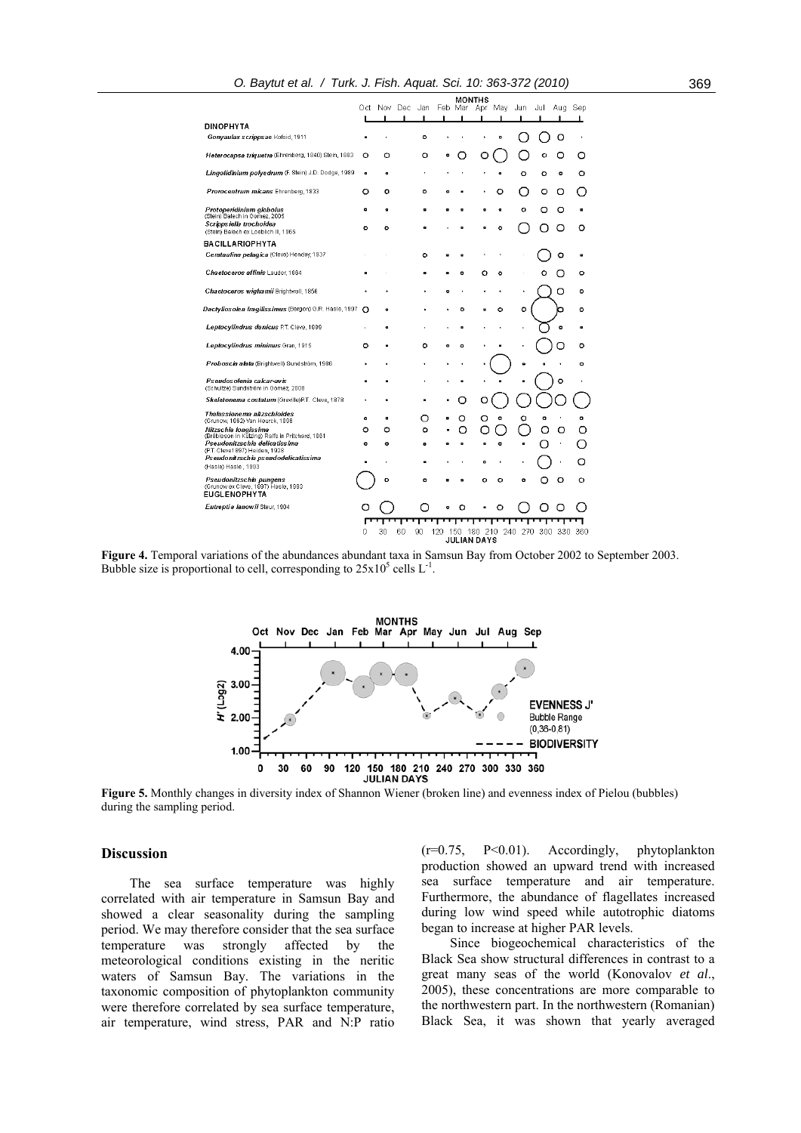|                                                                         |                |             |           |     |                | <b>MONTHS</b>          |     |     |         |           |           |
|-------------------------------------------------------------------------|----------------|-------------|-----------|-----|----------------|------------------------|-----|-----|---------|-----------|-----------|
|                                                                         |                | Oct Nov Dec | Jan       |     | Feb Mar        | Apr                    | May | Jun | Jul     | Aua       | Sep       |
| <b>DINOPHYTA</b>                                                        |                |             |           |     |                |                        |     |     |         |           |           |
| Gonyaulax scrippsae Kofoid, 1911                                        |                |             | $\circ$   |     |                |                        | ۰   |     |         | Ω         |           |
| Heterocapsa triquetra (Ehrenberg, 1840) Stein, 1883                     | ٥              | ٥           | ٥         | ۰   |                |                        |     |     | ۰       | О         | O         |
| Lingolidinium polyedrum (F. Stein) J.D. Dodge, 1989                     | $\overline{a}$ |             |           |     |                |                        |     | ۰   | $\circ$ | o         | o         |
| Prorocentrum micans Ehrenberg, 1833                                     | O              | ۰           | $\circ$   | ۰   |                |                        | O   |     | O       | Ο         |           |
| Protoperidinium globoius<br>(Stein) Balech in Gomez, 2005               | $\bullet$      | $\bullet$   | ۰         | n   | a              | a                      | ٠   | ۰   | o       | O         | o         |
| Scrippsiella trochoidea<br>(Stein) Balech ex Loeblich III, 1965         | ۰              | ۰           | ٠         |     | $\blacksquare$ | a                      | ٥   |     |         |           | o         |
| <b>BACILLARIOPHYTA</b>                                                  |                |             |           |     |                |                        |     |     |         |           |           |
| Cerataulina pelagica (Cleve) Hendey, 1937                               |                |             | $\circ$   | ø   | ø              |                        |     |     |         | ۰         | ø         |
| Chaetoceros affinis Lauder 1864                                         | $\bullet$      |             | ø         | ø   | ۰              | ٥                      | ٥   |     |         |           | ۰         |
| Chaetoceros wighamii Brightwell, 1856                                   |                |             |           | ۰   |                |                        |     | ٠   |         | о         | ۰         |
| Dactyllos olen fragiliss imus (Bergon) G.R. Hasle, 1997                 | Ω              | a           |           |     | ō              |                        | ۰   | ō   |         |           | o         |
| Leptocylindrus danicus P.T. Cleve, 1889                                 |                | ø           |           |     | a              |                        |     |     |         | $\bullet$ | a         |
| Leptocylindrus minimus Gran, 1915                                       | $\circ$        |             | $\circ$   | ۰   | ۰              |                        |     |     |         |           | ۰         |
| Proboscia alata (Brightwell) Sundström, 1986                            |                |             |           |     |                |                        |     | ۰   |         |           | ۰         |
| Pseudosolenia calcar-avis<br>(Schultze) Sundström in Gomez, 2008        |                |             |           |     |                |                        |     |     |         | ۰         |           |
| Skeletonema costatum (Greville)P.T. Cleve, 1878                         |                |             | ٠         |     |                | C                      |     |     |         |           |           |
| Thalassionema nitzschioides<br>(Grunow, 1862) Van Heurck, 1896          | $\bullet$      | a           | O         |     | O              | O                      | o   | ٥   | o       |           | $\bullet$ |
| Nitzschia longissima<br>(Brébisson in Kützing) Ralfs in Pritchard, 1861 | ٥              | ٥           | $\circ$   |     |                |                        |     |     |         |           |           |
| Pseudonitzschia delicatissima<br>(P.T. Cleve1897) Heiden, 1928          | o              | ۰           | $\bullet$ |     | ø              | ø                      | o   | a   |         |           |           |
| Pseudonitzschia pseudodelicatissima<br>(Hasle) Hasle, 1993              |                |             | Ē.        |     |                | $\bullet$              |     |     |         |           | Ω         |
| Pseudonitzschia pungens<br>(Grunow ex Cleve, 1897) Hasle, 1993          |                | $\circ$     | ۰         |     | ۰              | ۰                      | ٥   | ۰   |         | ۰         | ۰         |
| <b>EUGLENOPHYTA</b>                                                     |                |             |           |     |                |                        |     |     |         |           |           |
| Eutreptia lanowii Steur 1904                                            |                |             |           | ۰   | o              |                        | o   |     |         |           |           |
|                                                                         |                |             |           |     |                |                        |     |     |         |           |           |
|                                                                         | n              | 30          | 60<br>90  | 120 | 150            | 180 210<br>JULIAN DAYS | 240 | 270 | 300     | 330       | 360       |
|                                                                         |                |             |           |     |                |                        |     |     |         |           |           |

**Figure 4.** Temporal variations of the abundances abundant taxa in Samsun Bay from October 2002 to September 2003. Bubble size is proportional to cell, corresponding to  $25x10^5$  cells L<sup>-1</sup>.



**Figure 5.** Monthly changes in diversity index of Shannon Wiener (broken line) and evenness index of Pielou (bubbles) during the sampling period.

## **Discussion**

The sea surface temperature was highly correlated with air temperature in Samsun Bay and showed a clear seasonality during the sampling period. We may therefore consider that the sea surface temperature was strongly affected by the meteorological conditions existing in the neritic waters of Samsun Bay. The variations in the taxonomic composition of phytoplankton community were therefore correlated by sea surface temperature, air temperature, wind stress, PAR and N:P ratio (r=0.75, P<0.01). Accordingly, phytoplankton production showed an upward trend with increased sea surface temperature and air temperature. Furthermore, the abundance of flagellates increased during low wind speed while autotrophic diatoms began to increase at higher PAR levels.

Since biogeochemical characteristics of the Black Sea show structural differences in contrast to a great many seas of the world (Konovalov *et al*., 2005), these concentrations are more comparable to the northwestern part. In the northwestern (Romanian) Black Sea, it was shown that yearly averaged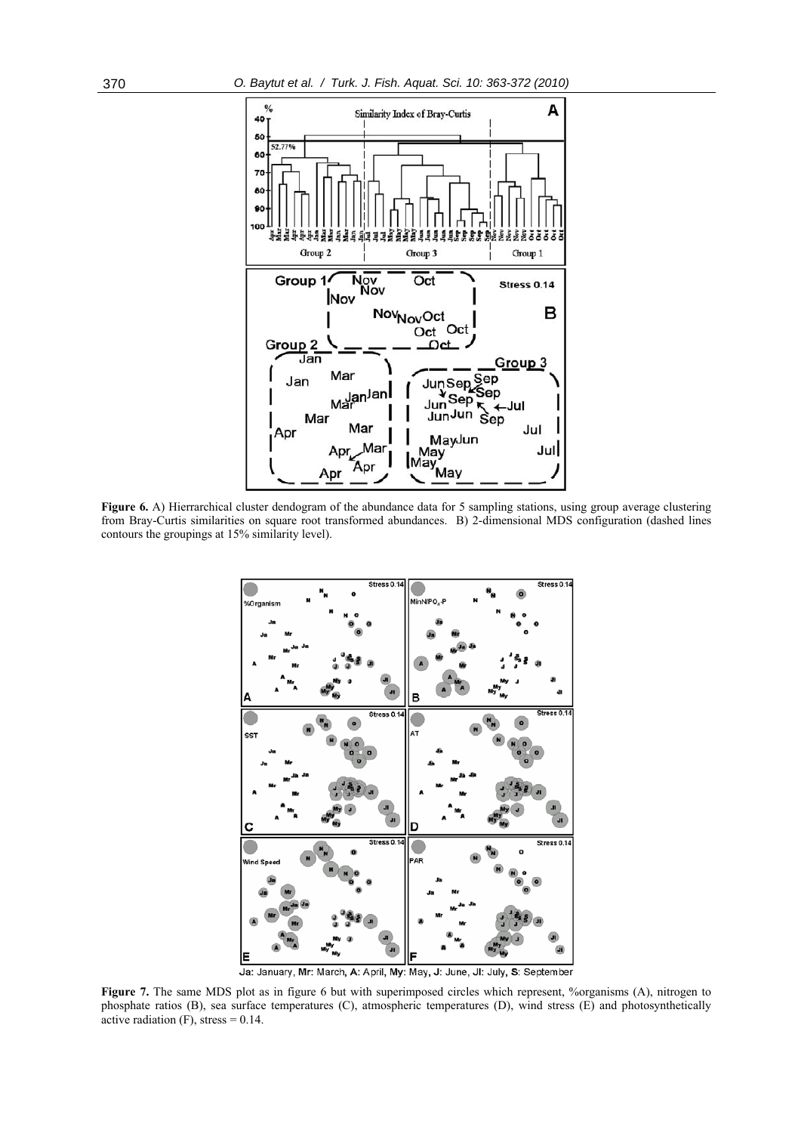

Figure 6. A) Hierrarchical cluster dendogram of the abundance data for 5 sampling stations, using group average clustering from Bray-Curtis similarities on square root transformed abundances. B) 2-dimensional MDS configuration (dashed lines contours the groupings at 15% similarity level).



Ja: January, Mr: March, A: April, My: May, J: June, JI: July, S: September

**Figure 7.** The same MDS plot as in figure 6 but with superimposed circles which represent, %organisms (A), nitrogen to phosphate ratios (B), sea surface temperatures (C), atmospheric temperatures (D), wind stress (E) and photosynthetically active radiation  $(F)$ , stress = 0.14.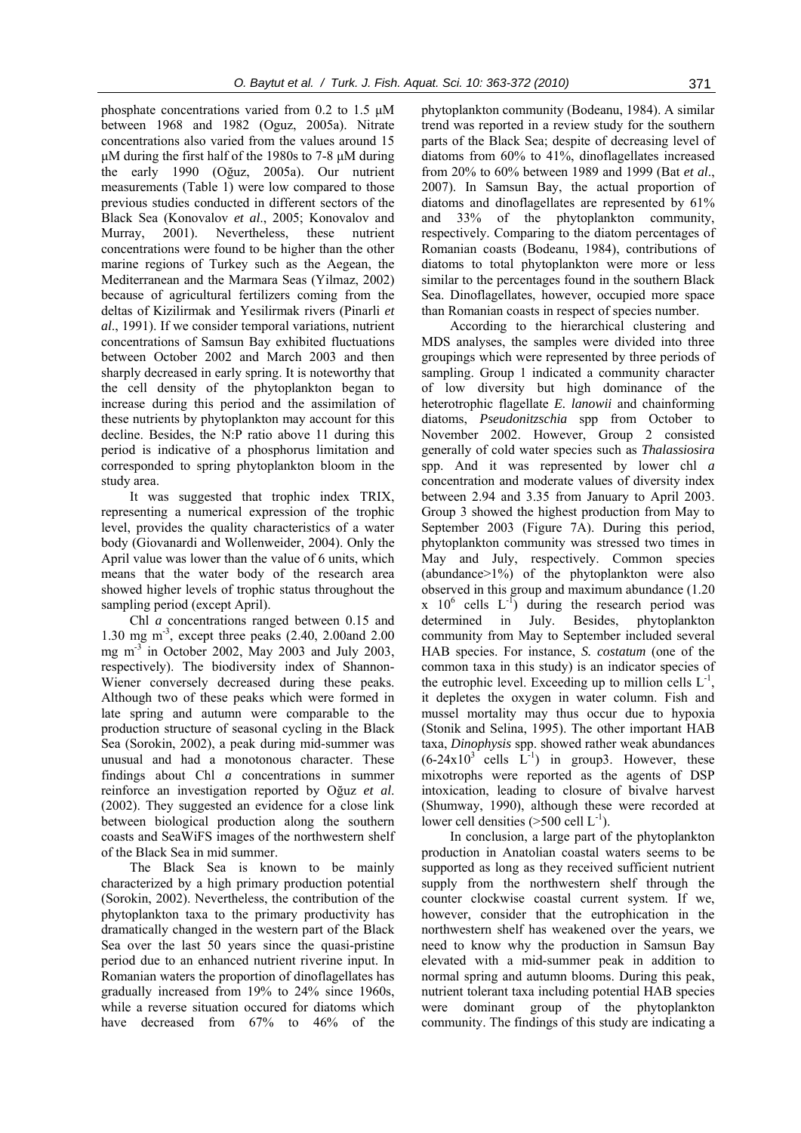phosphate concentrations varied from 0.2 to 1.5 μM between 1968 and 1982 (Oguz, 2005a). Nitrate concentrations also varied from the values around 15 μM during the first half of the 1980s to 7-8 μM during the early 1990 (Oğuz, 2005a). Our nutrient measurements (Table 1) were low compared to those previous studies conducted in different sectors of the Black Sea (Konovalov *et al*., 2005; Konovalov and Murray, 2001). Nevertheless, these nutrient concentrations were found to be higher than the other marine regions of Turkey such as the Aegean, the Mediterranean and the Marmara Seas (Yilmaz, 2002) because of agricultural fertilizers coming from the deltas of Kizilirmak and Yesilirmak rivers (Pinarli *et al*., 1991). If we consider temporal variations, nutrient concentrations of Samsun Bay exhibited fluctuations between October 2002 and March 2003 and then sharply decreased in early spring. It is noteworthy that the cell density of the phytoplankton began to increase during this period and the assimilation of these nutrients by phytoplankton may account for this decline. Besides, the N:P ratio above 11 during this period is indicative of a phosphorus limitation and corresponded to spring phytoplankton bloom in the study area.

It was suggested that trophic index TRIX, representing a numerical expression of the trophic level, provides the quality characteristics of a water body (Giovanardi and Wollenweider, 2004). Only the April value was lower than the value of 6 units, which means that the water body of the research area showed higher levels of trophic status throughout the sampling period (except April).

Chl *a* concentrations ranged between 0.15 and 1.30 mg m-3, except three peaks (2.40, 2.00and 2.00 mg  $m<sup>-3</sup>$  in October 2002, May 2003 and July 2003, respectively). The biodiversity index of Shannon-Wiener conversely decreased during these peaks. Although two of these peaks which were formed in late spring and autumn were comparable to the production structure of seasonal cycling in the Black Sea (Sorokin, 2002), a peak during mid-summer was unusual and had a monotonous character. These findings about Chl *a* concentrations in summer reinforce an investigation reported by Oğuz *et al*. (2002). They suggested an evidence for a close link between biological production along the southern coasts and SeaWiFS images of the northwestern shelf of the Black Sea in mid summer.

The Black Sea is known to be mainly characterized by a high primary production potential (Sorokin, 2002). Nevertheless, the contribution of the phytoplankton taxa to the primary productivity has dramatically changed in the western part of the Black Sea over the last 50 years since the quasi-pristine period due to an enhanced nutrient riverine input. In Romanian waters the proportion of dinoflagellates has gradually increased from 19% to 24% since 1960s, while a reverse situation occured for diatoms which have decreased from 67% to 46% of the phytoplankton community (Bodeanu, 1984). A similar trend was reported in a review study for the southern parts of the Black Sea; despite of decreasing level of diatoms from 60% to 41%, dinoflagellates increased from 20% to 60% between 1989 and 1999 (Bat *et al*., 2007). In Samsun Bay, the actual proportion of diatoms and dinoflagellates are represented by 61% and 33% of the phytoplankton community, respectively. Comparing to the diatom percentages of Romanian coasts (Bodeanu, 1984), contributions of diatoms to total phytoplankton were more or less similar to the percentages found in the southern Black Sea. Dinoflagellates, however, occupied more space than Romanian coasts in respect of species number.

According to the hierarchical clustering and MDS analyses, the samples were divided into three groupings which were represented by three periods of sampling. Group 1 indicated a community character of low diversity but high dominance of the heterotrophic flagellate *E. lanowii* and chainforming diatoms, *Pseudonitzschia* spp from October to November 2002. However, Group 2 consisted generally of cold water species such as *Thalassiosira* spp. And it was represented by lower chl *a* concentration and moderate values of diversity index between 2.94 and 3.35 from January to April 2003. Group 3 showed the highest production from May to September 2003 (Figure 7A). During this period, phytoplankton community was stressed two times in May and July, respectively. Common species (abundance>1%) of the phytoplankton were also observed in this group and maximum abundance (1.20  $x \neq 10^6$  cells  $L^{-1}$ ) during the research period was determined in July. Besides, phytoplankton community from May to September included several HAB species. For instance, *S. costatum* (one of the common taxa in this study) is an indicator species of the eutrophic level. Exceeding up to million cells  $L^{-1}$ , it depletes the oxygen in water column. Fish and mussel mortality may thus occur due to hypoxia (Stonik and Selina, 1995). The other important HAB taxa, *Dinophysis* spp. showed rather weak abundances  $(6-24x10^3$  cells  $L^{-1}$ ) in group3. However, these mixotrophs were reported as the agents of DSP intoxication, leading to closure of bivalve harvest (Shumway, 1990), although these were recorded at lower cell densities  $(>500$  cell  $L^{-1}$ ).

In conclusion, a large part of the phytoplankton production in Anatolian coastal waters seems to be supported as long as they received sufficient nutrient supply from the northwestern shelf through the counter clockwise coastal current system. If we, however, consider that the eutrophication in the northwestern shelf has weakened over the years, we need to know why the production in Samsun Bay elevated with a mid-summer peak in addition to normal spring and autumn blooms. During this peak, nutrient tolerant taxa including potential HAB species were dominant group of the phytoplankton community. The findings of this study are indicating a